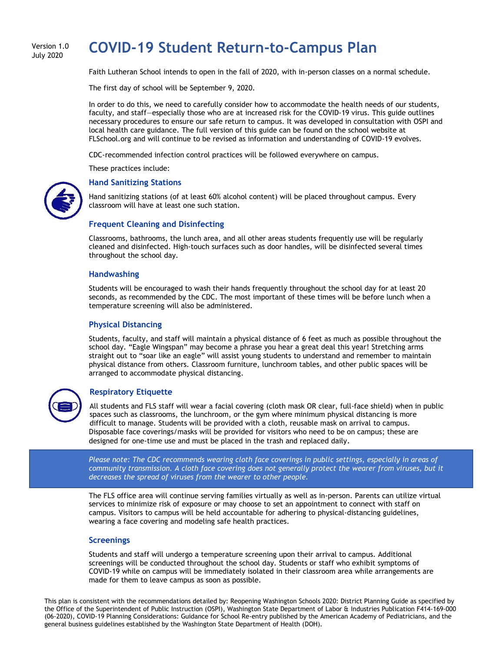#### Version 1.0 July 2020

# **COVID-19 Student Return-to-Campus Plan**

Faith Lutheran School intends to open in the fall of 2020, with in-person classes on a normal schedule.

The first day of school will be September 9, 2020.

In order to do this, we need to carefully consider how to accommodate the health needs of our students, faculty, and staff—especially those who are at increased risk for the COVID-19 virus. This guide outlines necessary procedures to ensure our safe return to campus. It was developed in consultation with OSPI and local health care guidance. The full version of this guide can be found on the school website at FLSchool.org and will continue to be revised as information and understanding of COVID-19 evolves.

CDC-recommended infection control practices will be followed everywhere on campus.

These practices include:



#### **Hand Sanitizing Stations**

Hand sanitizing stations (of at least 60% alcohol content) will be placed throughout campus. Every classroom will have at least one such station.

#### **Frequent Cleaning and Disinfecting**

Classrooms, bathrooms, the lunch area, and all other areas students frequently use will be regularly cleaned and disinfected. High-touch surfaces such as door handles, will be disinfected several times throughout the school day.

#### **Handwashing**

Students will be encouraged to wash their hands frequently throughout the school day for at least 20 seconds, as recommended by the CDC. The most important of these times will be before lunch when a temperature screening will also be administered.

#### **Physical Distancing**

Students, faculty, and staff will maintain a physical distance of 6 feet as much as possible throughout the school day. "Eagle Wingspan" may become a phrase you hear a great deal this year! Stretching arms straight out to "soar like an eagle" will assist young students to understand and remember to maintain physical distance from others. Classroom furniture, lunchroom tables, and other public spaces will be arranged to accommodate physical distancing.



#### **Respiratory Etiquette**

All students and FLS staff will wear a facial covering (cloth mask OR clear, full-face shield) when in public spaces such as classrooms, the lunchroom, or the gym where minimum physical distancing is more difficult to manage. Students will be provided with a cloth, reusable mask on arrival to campus. Disposable face coverings/masks will be provided for visitors who need to be on campus; these are designed for one-time use and must be placed in the trash and replaced daily.

*Please note: The CDC recommends wearing cloth face coverings in public settings, especially in areas of community transmission. A cloth face covering does not generally protect the wearer from viruses, but it decreases the spread of viruses from the wearer to other people.*

The FLS office area will continue serving families virtually as well as in-person. Parents can utilize virtual services to minimize risk of exposure or may choose to set an appointment to connect with staff on campus. Visitors to campus will be held accountable for adhering to physical-distancing guidelines, wearing a face covering and modeling safe health practices.

#### **Screenings**

Students and staff will undergo a temperature screening upon their arrival to campus. Additional screenings will be conducted throughout the school day. Students or staff who exhibit symptoms of COVID-19 while on campus will be immediately isolated in their classroom area while arrangements are made for them to leave campus as soon as possible.

This plan is consistent with the recommendations detailed by: Reopening Washington Schools 2020: District Planning Guide as specified by the Office of the Superintendent of Public Instruction (OSPI), Washington State Department of Labor & Industries Publication F414-169-000 (06-2020), COVID-19 Planning Considerations: Guidance for School Re-entry published by the American Academy of Pediatricians, and the general business guidelines established by the Washington State Department of Health (DOH).